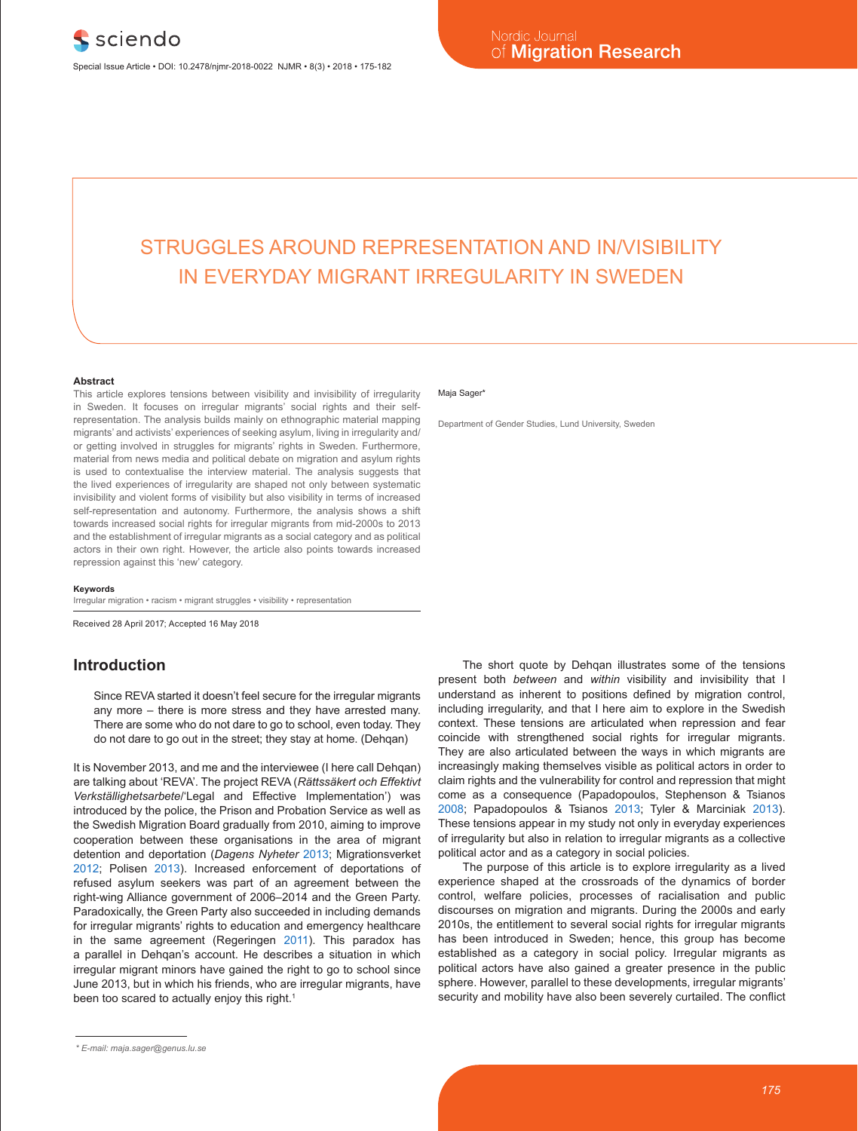# STRUGGLES AROUND REPRESENTATION AND IN/VISIBILITY IN EVERYDAY MIGRANT IRREGULARITY IN SWEDEN

#### **Abstract**

This article explores tensions between visibility and invisibility of irregularity in Sweden. It focuses on irregular migrants' social rights and their selfrepresentation. The analysis builds mainly on ethnographic material mapping migrants' and activists' experiences of seeking asylum, living in irregularity and/ or getting involved in struggles for migrants' rights in Sweden. Furthermore, material from news media and political debate on migration and asylum rights is used to contextualise the interview material. The analysis suggests that the lived experiences of irregularity are shaped not only between systematic invisibility and violent forms of visibility but also visibility in terms of increased self-representation and autonomy. Furthermore, the analysis shows a shift towards increased social rights for irregular migrants from mid-2000s to 2013 and the establishment of irregular migrants as a social category and as political actors in their own right. However, the article also points towards increased repression against this 'new' category.

#### **Keywords**

Irregular migration • racism • migrant struggles • visibility • representation

Received 28 April 2017; Accepted 16 May 2018

#### **Introduction**

Since REVA started it doesn't feel secure for the irregular migrants any more – there is more stress and they have arrested many. There are some who do not dare to go to school, even today. They do not dare to go out in the street; they stay at home. (Dehqan)

It is November 2013, and me and the interviewee (I here call Dehqan) are talking about 'REVA'. The project REVA (*Rättssäkert och Effektivt Verkställighetsarbete*/'Legal and Effective Implementation') was introduced by the police, the Prison and Probation Service as well as the Swedish Migration Board gradually from 2010, aiming to improve cooperation between these organisations in the area of migrant detention and deportation (*Dagens Nyheter* 2013; Migrationsverket 2012; Polisen 2013). Increased enforcement of deportations of refused asylum seekers was part of an agreement between the right-wing Alliance government of 2006–2014 and the Green Party. Paradoxically, the Green Party also succeeded in including demands for irregular migrants' rights to education and emergency healthcare in the same agreement (Regeringen 2011). This paradox has a parallel in Dehqan's account. He describes a situation in which irregular migrant minors have gained the right to go to school since June 2013, but in which his friends, who are irregular migrants, have been too scared to actually enjoy this right.<sup>1</sup>

Department of Gender Studies, Lund University, Sweden

The short quote by Dehqan illustrates some of the tensions present both *between* and *within* visibility and invisibility that I understand as inherent to positions defined by migration control, including irregularity, and that I here aim to explore in the Swedish context. These tensions are articulated when repression and fear coincide with strengthened social rights for irregular migrants. They are also articulated between the ways in which migrants are increasingly making themselves visible as political actors in order to claim rights and the vulnerability for control and repression that might come as a consequence (Papadopoulos, Stephenson & Tsianos 2008; Papadopoulos & Tsianos 2013; Tyler & Marciniak 2013). These tensions appear in my study not only in everyday experiences of irregularity but also in relation to irregular migrants as a collective political actor and as a category in social policies.

The purpose of this article is to explore irregularity as a lived experience shaped at the crossroads of the dynamics of border control, welfare policies, processes of racialisation and public discourses on migration and migrants. During the 2000s and early 2010s, the entitlement to several social rights for irregular migrants has been introduced in Sweden; hence, this group has become established as a category in social policy. Irregular migrants as political actors have also gained a greater presence in the public sphere. However, parallel to these developments, irregular migrants' security and mobility have also been severely curtailed. The conflict

Maja Sager\*

*<sup>\*</sup> E-mail: maja.sager@genus.lu.se*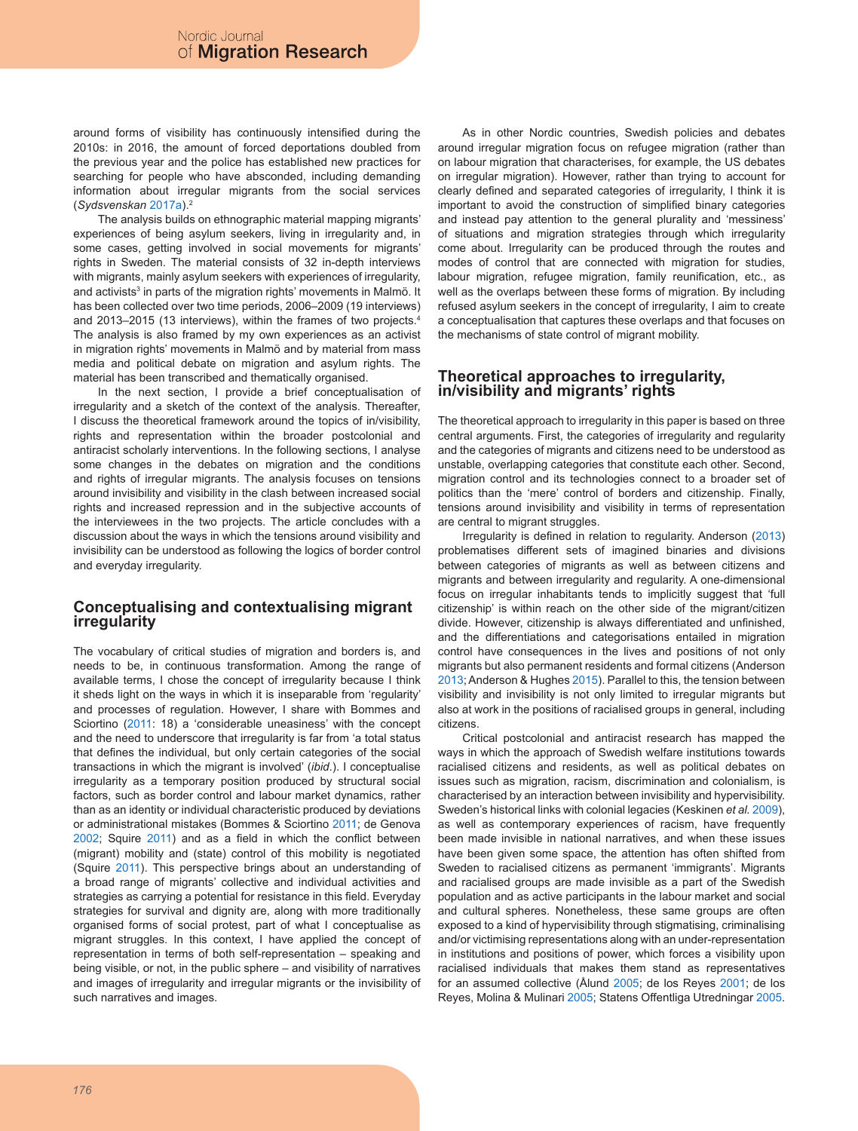around forms of visibility has continuously intensified during the 2010s: in 2016, the amount of forced deportations doubled from the previous year and the police has established new practices for searching for people who have absconded, including demanding information about irregular migrants from the social services (*Sydsvenskan* 2017a).2

The analysis builds on ethnographic material mapping migrants' experiences of being asylum seekers, living in irregularity and, in some cases, getting involved in social movements for migrants' rights in Sweden. The material consists of 32 in-depth interviews with migrants, mainly asylum seekers with experiences of irregularity, and activists<sup>3</sup> in parts of the migration rights' movements in Malmö. It has been collected over two time periods, 2006–2009 (19 interviews) and 2013–2015 (13 interviews), within the frames of two projects.<sup>4</sup> The analysis is also framed by my own experiences as an activist in migration rights' movements in Malmö and by material from mass media and political debate on migration and asylum rights. The material has been transcribed and thematically organised.

In the next section, I provide a brief conceptualisation of irregularity and a sketch of the context of the analysis. Thereafter, I discuss the theoretical framework around the topics of in/visibility, rights and representation within the broader postcolonial and antiracist scholarly interventions. In the following sections, I analyse some changes in the debates on migration and the conditions and rights of irregular migrants. The analysis focuses on tensions around invisibility and visibility in the clash between increased social rights and increased repression and in the subjective accounts of the interviewees in the two projects. The article concludes with a discussion about the ways in which the tensions around visibility and invisibility can be understood as following the logics of border control and everyday irregularity.

#### **Conceptualising and contextualising migrant irregularity**

The vocabulary of critical studies of migration and borders is, and needs to be, in continuous transformation. Among the range of available terms, I chose the concept of irregularity because I think it sheds light on the ways in which it is inseparable from 'regularity' and processes of regulation. However, I share with Bommes and Sciortino (2011: 18) a 'considerable uneasiness' with the concept and the need to underscore that irregularity is far from 'a total status that defines the individual, but only certain categories of the social transactions in which the migrant is involved' (*ibid*.). I conceptualise irregularity as a temporary position produced by structural social factors, such as border control and labour market dynamics, rather than as an identity or individual characteristic produced by deviations or administrational mistakes (Bommes & Sciortino 2011; de Genova 2002; Squire 2011) and as a field in which the conflict between (migrant) mobility and (state) control of this mobility is negotiated (Squire 2011). This perspective brings about an understanding of a broad range of migrants' collective and individual activities and strategies as carrying a potential for resistance in this field. Everyday strategies for survival and dignity are, along with more traditionally organised forms of social protest, part of what I conceptualise as migrant struggles. In this context, I have applied the concept of representation in terms of both self-representation – speaking and being visible, or not, in the public sphere – and visibility of narratives and images of irregularity and irregular migrants or the invisibility of such narratives and images.

As in other Nordic countries, Swedish policies and debates around irregular migration focus on refugee migration (rather than on labour migration that characterises, for example, the US debates on irregular migration). However, rather than trying to account for clearly defined and separated categories of irregularity, I think it is important to avoid the construction of simplified binary categories and instead pay attention to the general plurality and 'messiness' of situations and migration strategies through which irregularity come about. Irregularity can be produced through the routes and modes of control that are connected with migration for studies, labour migration, refugee migration, family reunification, etc., as well as the overlaps between these forms of migration. By including refused asylum seekers in the concept of irregularity, I aim to create a conceptualisation that captures these overlaps and that focuses on the mechanisms of state control of migrant mobility.

#### **Theoretical approaches to irregularity, in/visibility and migrants' rights**

The theoretical approach to irregularity in this paper is based on three central arguments. First, the categories of irregularity and regularity and the categories of migrants and citizens need to be understood as unstable, overlapping categories that constitute each other. Second, migration control and its technologies connect to a broader set of politics than the 'mere' control of borders and citizenship. Finally, tensions around invisibility and visibility in terms of representation are central to migrant struggles.

Irregularity is defined in relation to regularity. Anderson (2013) problematises different sets of imagined binaries and divisions between categories of migrants as well as between citizens and migrants and between irregularity and regularity. A one-dimensional focus on irregular inhabitants tends to implicitly suggest that 'full citizenship' is within reach on the other side of the migrant/citizen divide. However, citizenship is always differentiated and unfinished, and the differentiations and categorisations entailed in migration control have consequences in the lives and positions of not only migrants but also permanent residents and formal citizens (Anderson 2013; Anderson & Hughes 2015). Parallel to this, the tension between visibility and invisibility is not only limited to irregular migrants but also at work in the positions of racialised groups in general, including citizens.

Critical postcolonial and antiracist research has mapped the ways in which the approach of Swedish welfare institutions towards racialised citizens and residents, as well as political debates on issues such as migration, racism, discrimination and colonialism, is characterised by an interaction between invisibility and hypervisibility. Sweden's historical links with colonial legacies (Keskinen *et al.* 2009), as well as contemporary experiences of racism, have frequently been made invisible in national narratives, and when these issues have been given some space, the attention has often shifted from Sweden to racialised citizens as permanent 'immigrants'. Migrants and racialised groups are made invisible as a part of the Swedish population and as active participants in the labour market and social and cultural spheres. Nonetheless, these same groups are often exposed to a kind of hypervisibility through stigmatising, criminalising and/or victimising representations along with an under-representation in institutions and positions of power, which forces a visibility upon racialised individuals that makes them stand as representatives for an assumed collective (Ålund 2005; de los Reyes 2001; de los Reyes, Molina & Mulinari 2005; Statens Offentliga Utredningar 2005.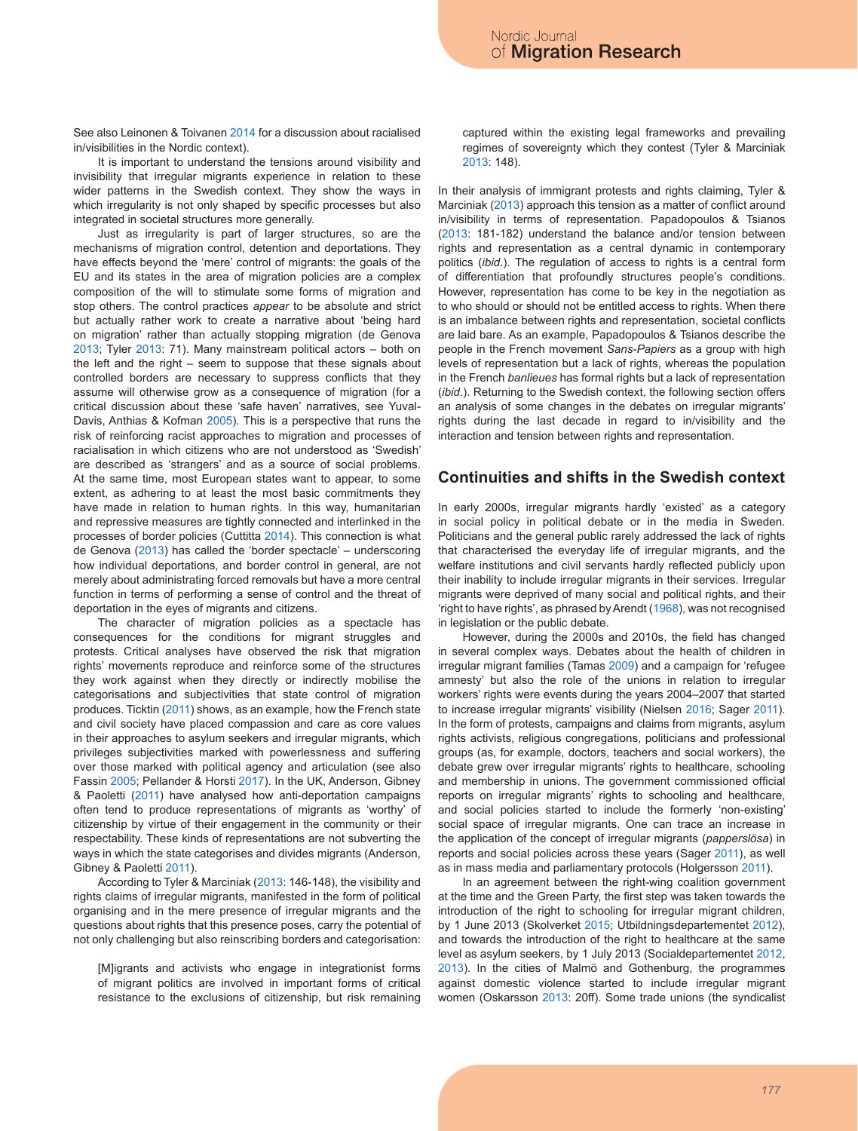See also Leinonen & Toivanen 2014 for a discussion about racialised in/visibilities in the Nordic context).

It is important to understand the tensions around visibility and invisibility that irregular migrants experience in relation to these wider patterns in the Swedish context. They show the ways in which irregularity is not only shaped by specific processes but also integrated in societal structures more generally.

Just as irregularity is part of larger structures, so are the mechanisms of migration control, detention and deportations. They have effects beyond the 'mere' control of migrants: the goals of the EU and its states in the area of migration policies are a complex composition of the will to stimulate some forms of migration and stop others. The control practices *appear* to be absolute and strict but actually rather work to create a narrative about 'being hard on migration' rather than actually stopping migration (de Genova 2013; Tyler 2013: 71). Many mainstream political actors – both on the left and the right – seem to suppose that these signals about controlled borders are necessary to suppress conflicts that they assume will otherwise grow as a consequence of migration (for a critical discussion about these 'safe haven' narratives, see Yuval-Davis, Anthias & Kofman 2005). This is a perspective that runs the risk of reinforcing racist approaches to migration and processes of racialisation in which citizens who are not understood as 'Swedish' are described as 'strangers' and as a source of social problems. At the same time, most European states want to appear, to some extent, as adhering to at least the most basic commitments they have made in relation to human rights. In this way, humanitarian and repressive measures are tightly connected and interlinked in the processes of border policies (Cuttitta 2014). This connection is what de Genova (2013) has called the 'border spectacle' – underscoring how individual deportations, and border control in general, are not merely about administrating forced removals but have a more central function in terms of performing a sense of control and the threat of deportation in the eyes of migrants and citizens.

The character of migration policies as a spectacle has consequences for the conditions for migrant struggles and protests. Critical analyses have observed the risk that migration rights' movements reproduce and reinforce some of the structures they work against when they directly or indirectly mobilise the categorisations and subjectivities that state control of migration produces. Ticktin (2011) shows, as an example, how the French state and civil society have placed compassion and care as core values in their approaches to asylum seekers and irregular migrants, which privileges subjectivities marked with powerlessness and suffering over those marked with political agency and articulation (see also Fassin 2005; Pellander & Horsti 2017). In the UK, Anderson, Gibney & Paoletti (2011) have analysed how anti-deportation campaigns often tend to produce representations of migrants as 'worthy' of citizenship by virtue of their engagement in the community or their respectability. These kinds of representations are not subverting the ways in which the state categorises and divides migrants (Anderson, Gibney & Paoletti 2011).

According to Tyler & Marciniak (2013: 146-148), the visibility and rights claims of irregular migrants, manifested in the form of political organising and in the mere presence of irregular migrants and the questions about rights that this presence poses, carry the potential of not only challenging but also reinscribing borders and categorisation:

[M]igrants and activists who engage in integrationist forms of migrant politics are involved in important forms of critical resistance to the exclusions of citizenship, but risk remaining captured within the existing legal frameworks and prevailing regimes of sovereignty which they contest (Tyler & Marciniak 2013: 148).

In their analysis of immigrant protests and rights claiming, Tyler & Marciniak (2013) approach this tension as a matter of conflict around in/visibility in terms of representation. Papadopoulos & Tsianos (2013: 181-182) understand the balance and/or tension between rights and representation as a central dynamic in contemporary politics (*ibid*.). The regulation of access to rights is a central form of differentiation that profoundly structures people's conditions. However, representation has come to be key in the negotiation as to who should or should not be entitled access to rights. When there is an imbalance between rights and representation, societal conflicts are laid bare. As an example, Papadopoulos & Tsianos describe the people in the French movement *Sans-Papiers* as a group with high levels of representation but a lack of rights, whereas the population in the French *banlieues* has formal rights but a lack of representation (*ibid*.). Returning to the Swedish context, the following section offers an analysis of some changes in the debates on irregular migrants' rights during the last decade in regard to in/visibility and the interaction and tension between rights and representation.

#### **Continuities and shifts in the Swedish context**

In early 2000s, irregular migrants hardly 'existed' as a category in social policy in political debate or in the media in Sweden. Politicians and the general public rarely addressed the lack of rights that characterised the everyday life of irregular migrants, and the welfare institutions and civil servants hardly reflected publicly upon their inability to include irregular migrants in their services. Irregular migrants were deprived of many social and political rights, and their 'right to have rights', as phrased by Arendt (1968), was not recognised in legislation or the public debate.

However, during the 2000s and 2010s, the field has changed in several complex ways. Debates about the health of children in irregular migrant families (Tamas 2009) and a campaign for 'refugee amnesty' but also the role of the unions in relation to irregular workers' rights were events during the years 2004–2007 that started to increase irregular migrants' visibility (Nielsen 2016; Sager 2011). In the form of protests, campaigns and claims from migrants, asylum rights activists, religious congregations, politicians and professional groups (as, for example, doctors, teachers and social workers), the debate grew over irregular migrants' rights to healthcare, schooling and membership in unions. The government commissioned official reports on irregular migrants' rights to schooling and healthcare, and social policies started to include the formerly 'non-existing' social space of irregular migrants. One can trace an increase in the application of the concept of irregular migrants (*papperslösa*) in reports and social policies across these years (Sager 2011), as well as in mass media and parliamentary protocols (Holgersson 2011).

In an agreement between the right-wing coalition government at the time and the Green Party, the first step was taken towards the introduction of the right to schooling for irregular migrant children, by 1 June 2013 (Skolverket 2015; Utbildningsdepartementet 2012), and towards the introduction of the right to healthcare at the same level as asylum seekers, by 1 July 2013 (Socialdepartementet 2012, 2013). In the cities of Malmö and Gothenburg, the programmes against domestic violence started to include irregular migrant women (Oskarsson 2013: 20ff). Some trade unions (the syndicalist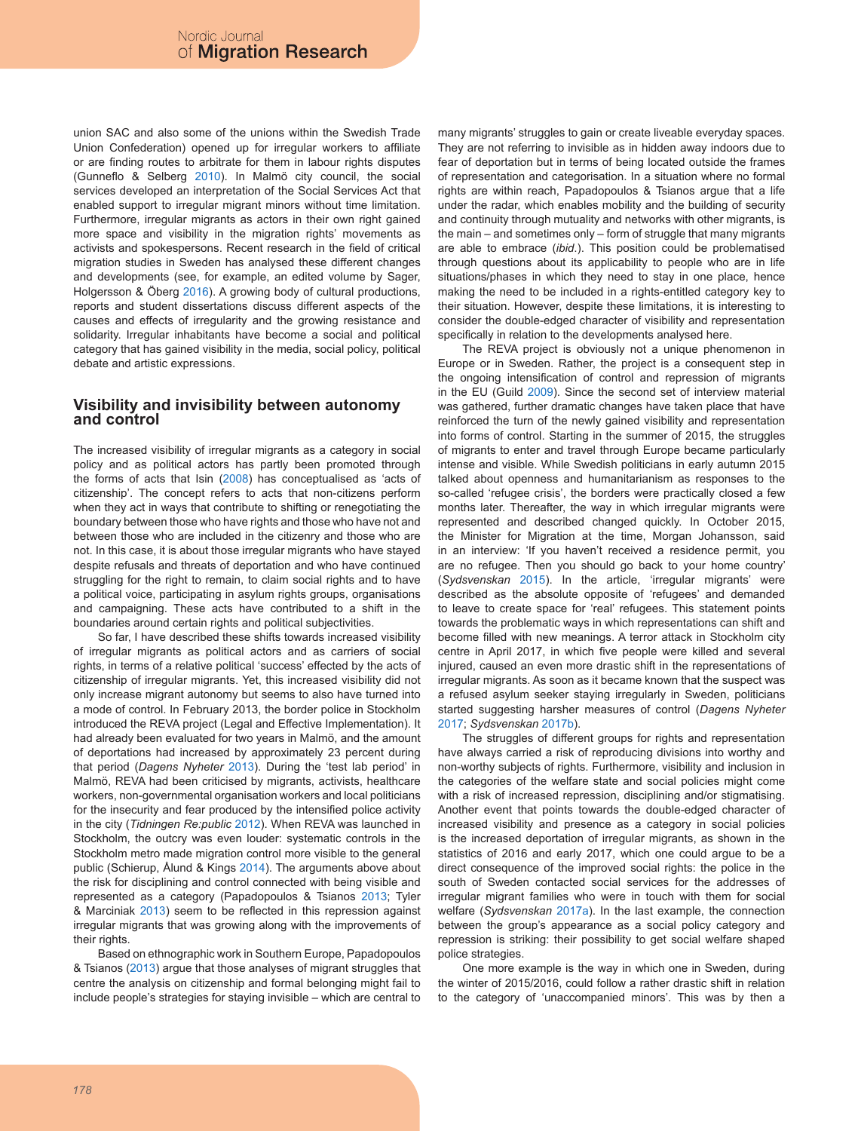union SAC and also some of the unions within the Swedish Trade Union Confederation) opened up for irregular workers to affiliate or are finding routes to arbitrate for them in labour rights disputes (Gunneflo & Selberg 2010). In Malmö city council, the social services developed an interpretation of the Social Services Act that enabled support to irregular migrant minors without time limitation. Furthermore, irregular migrants as actors in their own right gained more space and visibility in the migration rights' movements as activists and spokespersons. Recent research in the field of critical migration studies in Sweden has analysed these different changes and developments (see, for example, an edited volume by Sager, Holgersson & Öberg 2016). A growing body of cultural productions, reports and student dissertations discuss different aspects of the causes and effects of irregularity and the growing resistance and solidarity. Irregular inhabitants have become a social and political category that has gained visibility in the media, social policy, political debate and artistic expressions.

#### **Visibility and invisibility between autonomy and control**

The increased visibility of irregular migrants as a category in social policy and as political actors has partly been promoted through the forms of acts that Isin (2008) has conceptualised as 'acts of citizenship'. The concept refers to acts that non-citizens perform when they act in ways that contribute to shifting or renegotiating the boundary between those who have rights and those who have not and between those who are included in the citizenry and those who are not. In this case, it is about those irregular migrants who have stayed despite refusals and threats of deportation and who have continued struggling for the right to remain, to claim social rights and to have a political voice, participating in asylum rights groups, organisations and campaigning. These acts have contributed to a shift in the boundaries around certain rights and political subjectivities.

So far, I have described these shifts towards increased visibility of irregular migrants as political actors and as carriers of social rights, in terms of a relative political 'success' effected by the acts of citizenship of irregular migrants. Yet, this increased visibility did not only increase migrant autonomy but seems to also have turned into a mode of control. In February 2013, the border police in Stockholm introduced the REVA project (Legal and Effective Implementation). It had already been evaluated for two years in Malmö, and the amount of deportations had increased by approximately 23 percent during that period (*Dagens Nyheter* 2013). During the 'test lab period' in Malmö, REVA had been criticised by migrants, activists, healthcare workers, non-governmental organisation workers and local politicians for the insecurity and fear produced by the intensified police activity in the city (*Tidningen Re:public* 2012). When REVA was launched in Stockholm, the outcry was even louder: systematic controls in the Stockholm metro made migration control more visible to the general public (Schierup, Ålund & Kings 2014). The arguments above about the risk for disciplining and control connected with being visible and represented as a category (Papadopoulos & Tsianos 2013; Tyler & Marciniak 2013) seem to be reflected in this repression against irregular migrants that was growing along with the improvements of their rights.

Based on ethnographic work in Southern Europe, Papadopoulos & Tsianos (2013) argue that those analyses of migrant struggles that centre the analysis on citizenship and formal belonging might fail to include people's strategies for staying invisible – which are central to many migrants' struggles to gain or create liveable everyday spaces. They are not referring to invisible as in hidden away indoors due to fear of deportation but in terms of being located outside the frames of representation and categorisation. In a situation where no formal rights are within reach, Papadopoulos & Tsianos argue that a life under the radar, which enables mobility and the building of security and continuity through mutuality and networks with other migrants, is the main – and sometimes only – form of struggle that many migrants are able to embrace (*ibid*.). This position could be problematised through questions about its applicability to people who are in life situations/phases in which they need to stay in one place, hence making the need to be included in a rights-entitled category key to their situation. However, despite these limitations, it is interesting to consider the double-edged character of visibility and representation specifically in relation to the developments analysed here.

The REVA project is obviously not a unique phenomenon in Europe or in Sweden. Rather, the project is a consequent step in the ongoing intensification of control and repression of migrants in the EU (Guild 2009). Since the second set of interview material was gathered, further dramatic changes have taken place that have reinforced the turn of the newly gained visibility and representation into forms of control. Starting in the summer of 2015, the struggles of migrants to enter and travel through Europe became particularly intense and visible. While Swedish politicians in early autumn 2015 talked about openness and humanitarianism as responses to the so-called 'refugee crisis', the borders were practically closed a few months later. Thereafter, the way in which irregular migrants were represented and described changed quickly. In October 2015, the Minister for Migration at the time, Morgan Johansson, said in an interview: 'If you haven't received a residence permit, you are no refugee. Then you should go back to your home country' (*Sydsvenskan* 2015). In the article, 'irregular migrants' were described as the absolute opposite of 'refugees' and demanded to leave to create space for 'real' refugees. This statement points towards the problematic ways in which representations can shift and become filled with new meanings. A terror attack in Stockholm city centre in April 2017, in which five people were killed and several injured, caused an even more drastic shift in the representations of irregular migrants. As soon as it became known that the suspect was a refused asylum seeker staying irregularly in Sweden, politicians started suggesting harsher measures of control (*Dagens Nyheter* 2017; *Sydsvenskan* 2017b).

The struggles of different groups for rights and representation have always carried a risk of reproducing divisions into worthy and non-worthy subjects of rights. Furthermore, visibility and inclusion in the categories of the welfare state and social policies might come with a risk of increased repression, disciplining and/or stigmatising. Another event that points towards the double-edged character of increased visibility and presence as a category in social policies is the increased deportation of irregular migrants, as shown in the statistics of 2016 and early 2017, which one could argue to be a direct consequence of the improved social rights: the police in the south of Sweden contacted social services for the addresses of irregular migrant families who were in touch with them for social welfare (*Sydsvenskan* 2017a). In the last example, the connection between the group's appearance as a social policy category and repression is striking: their possibility to get social welfare shaped police strategies.

One more example is the way in which one in Sweden, during the winter of 2015/2016, could follow a rather drastic shift in relation to the category of 'unaccompanied minors'. This was by then a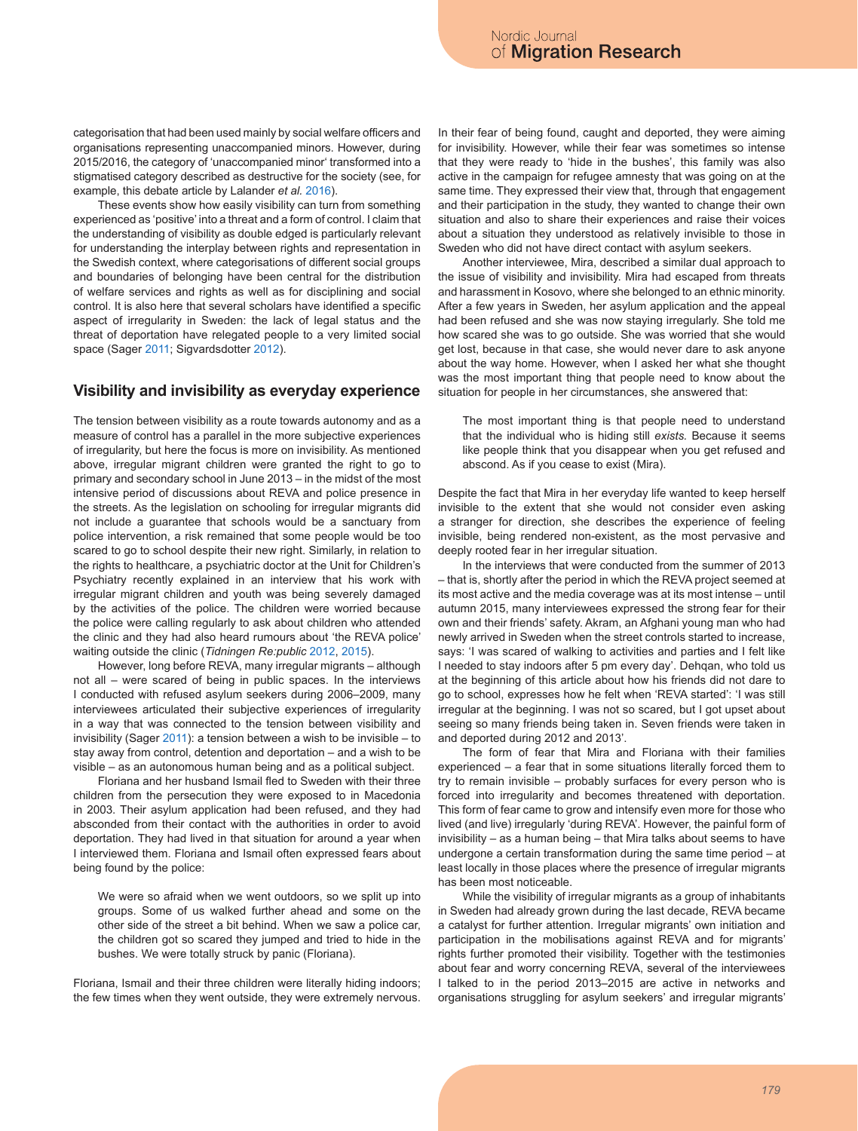categorisation that had been used mainly by social welfare officers and organisations representing unaccompanied minors. However, during 2015/2016, the category of 'unaccompanied minor' transformed into a stigmatised category described as destructive for the society (see, for example, this debate article by Lalander *et al.* 2016).

These events show how easily visibility can turn from something experienced as 'positive' into a threat and a form of control. I claim that the understanding of visibility as double edged is particularly relevant for understanding the interplay between rights and representation in the Swedish context, where categorisations of different social groups and boundaries of belonging have been central for the distribution of welfare services and rights as well as for disciplining and social control. It is also here that several scholars have identified a specific aspect of irregularity in Sweden: the lack of legal status and the threat of deportation have relegated people to a very limited social space (Sager 2011; Sigvardsdotter 2012).

#### **Visibility and invisibility as everyday experience**

The tension between visibility as a route towards autonomy and as a measure of control has a parallel in the more subjective experiences of irregularity, but here the focus is more on invisibility. As mentioned above, irregular migrant children were granted the right to go to primary and secondary school in June 2013 – in the midst of the most intensive period of discussions about REVA and police presence in the streets. As the legislation on schooling for irregular migrants did not include a guarantee that schools would be a sanctuary from police intervention, a risk remained that some people would be too scared to go to school despite their new right. Similarly, in relation to the rights to healthcare, a psychiatric doctor at the Unit for Children's Psychiatry recently explained in an interview that his work with irregular migrant children and youth was being severely damaged by the activities of the police. The children were worried because the police were calling regularly to ask about children who attended the clinic and they had also heard rumours about 'the REVA police' waiting outside the clinic (*Tidningen Re:public* 2012, 2015).

However, long before REVA, many irregular migrants – although not all – were scared of being in public spaces. In the interviews I conducted with refused asylum seekers during 2006–2009, many interviewees articulated their subjective experiences of irregularity in a way that was connected to the tension between visibility and invisibility (Sager 2011): a tension between a wish to be invisible – to stay away from control, detention and deportation – and a wish to be visible – as an autonomous human being and as a political subject.

Floriana and her husband Ismail fled to Sweden with their three children from the persecution they were exposed to in Macedonia in 2003. Their asylum application had been refused, and they had absconded from their contact with the authorities in order to avoid deportation. They had lived in that situation for around a year when I interviewed them. Floriana and Ismail often expressed fears about being found by the police:

We were so afraid when we went outdoors, so we split up into groups. Some of us walked further ahead and some on the other side of the street a bit behind. When we saw a police car, the children got so scared they jumped and tried to hide in the bushes. We were totally struck by panic (Floriana).

Floriana, Ismail and their three children were literally hiding indoors; the few times when they went outside, they were extremely nervous.

In their fear of being found, caught and deported, they were aiming for invisibility. However, while their fear was sometimes so intense that they were ready to 'hide in the bushes', this family was also active in the campaign for refugee amnesty that was going on at the same time. They expressed their view that, through that engagement and their participation in the study, they wanted to change their own situation and also to share their experiences and raise their voices about a situation they understood as relatively invisible to those in Sweden who did not have direct contact with asylum seekers.

Another interviewee, Mira, described a similar dual approach to the issue of visibility and invisibility. Mira had escaped from threats and harassment in Kosovo, where she belonged to an ethnic minority. After a few years in Sweden, her asylum application and the appeal had been refused and she was now staying irregularly. She told me how scared she was to go outside. She was worried that she would get lost, because in that case, she would never dare to ask anyone about the way home. However, when I asked her what she thought was the most important thing that people need to know about the situation for people in her circumstances, she answered that:

The most important thing is that people need to understand that the individual who is hiding still *exists.* Because it seems like people think that you disappear when you get refused and abscond. As if you cease to exist (Mira).

Despite the fact that Mira in her everyday life wanted to keep herself invisible to the extent that she would not consider even asking a stranger for direction, she describes the experience of feeling invisible, being rendered non-existent, as the most pervasive and deeply rooted fear in her irregular situation.

In the interviews that were conducted from the summer of 2013 – that is, shortly after the period in which the REVA project seemed at its most active and the media coverage was at its most intense – until autumn 2015, many interviewees expressed the strong fear for their own and their friends' safety. Akram, an Afghani young man who had newly arrived in Sweden when the street controls started to increase, says: 'I was scared of walking to activities and parties and I felt like I needed to stay indoors after 5 pm every day'. Dehqan, who told us at the beginning of this article about how his friends did not dare to go to school, expresses how he felt when 'REVA started': 'I was still irregular at the beginning. I was not so scared, but I got upset about seeing so many friends being taken in. Seven friends were taken in and deported during 2012 and 2013'.

The form of fear that Mira and Floriana with their families experienced – a fear that in some situations literally forced them to try to remain invisible – probably surfaces for every person who is forced into irregularity and becomes threatened with deportation. This form of fear came to grow and intensify even more for those who lived (and live) irregularly 'during REVA'. However, the painful form of invisibility – as a human being – that Mira talks about seems to have undergone a certain transformation during the same time period – at least locally in those places where the presence of irregular migrants has been most noticeable.

While the visibility of irregular migrants as a group of inhabitants in Sweden had already grown during the last decade, REVA became a catalyst for further attention. Irregular migrants' own initiation and participation in the mobilisations against REVA and for migrants' rights further promoted their visibility. Together with the testimonies about fear and worry concerning REVA, several of the interviewees I talked to in the period 2013–2015 are active in networks and organisations struggling for asylum seekers' and irregular migrants'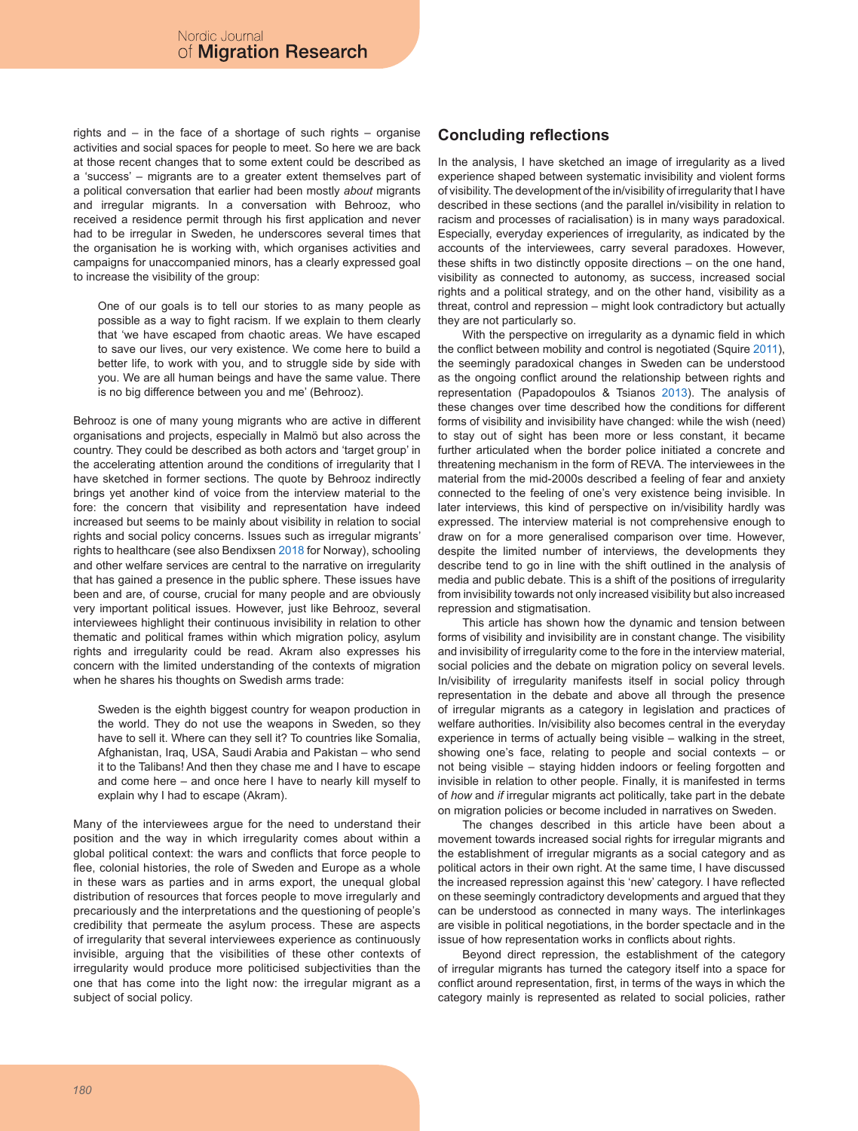rights and – in the face of a shortage of such rights – organise activities and social spaces for people to meet. So here we are back at those recent changes that to some extent could be described as a 'success' – migrants are to a greater extent themselves part of a political conversation that earlier had been mostly *about* migrants and irregular migrants. In a conversation with Behrooz, who received a residence permit through his first application and never had to be irregular in Sweden, he underscores several times that the organisation he is working with, which organises activities and campaigns for unaccompanied minors, has a clearly expressed goal to increase the visibility of the group:

One of our goals is to tell our stories to as many people as possible as a way to fight racism. If we explain to them clearly that 'we have escaped from chaotic areas. We have escaped to save our lives, our very existence. We come here to build a better life, to work with you, and to struggle side by side with you. We are all human beings and have the same value. There is no big difference between you and me' (Behrooz).

Behrooz is one of many young migrants who are active in different organisations and projects, especially in Malmö but also across the country. They could be described as both actors and 'target group' in the accelerating attention around the conditions of irregularity that I have sketched in former sections. The quote by Behrooz indirectly brings yet another kind of voice from the interview material to the fore: the concern that visibility and representation have indeed increased but seems to be mainly about visibility in relation to social rights and social policy concerns. Issues such as irregular migrants' rights to healthcare (see also Bendixsen 2018 for Norway), schooling and other welfare services are central to the narrative on irregularity that has gained a presence in the public sphere. These issues have been and are, of course, crucial for many people and are obviously very important political issues. However, just like Behrooz, several interviewees highlight their continuous invisibility in relation to other thematic and political frames within which migration policy, asylum rights and irregularity could be read. Akram also expresses his concern with the limited understanding of the contexts of migration when he shares his thoughts on Swedish arms trade:

Sweden is the eighth biggest country for weapon production in the world. They do not use the weapons in Sweden, so they have to sell it. Where can they sell it? To countries like Somalia, Afghanistan, Iraq, USA, Saudi Arabia and Pakistan – who send it to the Talibans! And then they chase me and I have to escape and come here – and once here I have to nearly kill myself to explain why I had to escape (Akram).

Many of the interviewees argue for the need to understand their position and the way in which irregularity comes about within a global political context: the wars and conflicts that force people to flee, colonial histories, the role of Sweden and Europe as a whole in these wars as parties and in arms export, the unequal global distribution of resources that forces people to move irregularly and precariously and the interpretations and the questioning of people's credibility that permeate the asylum process. These are aspects of irregularity that several interviewees experience as continuously invisible, arguing that the visibilities of these other contexts of irregularity would produce more politicised subjectivities than the one that has come into the light now: the irregular migrant as a subject of social policy.

### **Concluding reflections**

In the analysis, I have sketched an image of irregularity as a lived experience shaped between systematic invisibility and violent forms of visibility. The development of the in/visibility of irregularity that I have described in these sections (and the parallel in/visibility in relation to racism and processes of racialisation) is in many ways paradoxical. Especially, everyday experiences of irregularity, as indicated by the accounts of the interviewees, carry several paradoxes. However, these shifts in two distinctly opposite directions – on the one hand, visibility as connected to autonomy, as success, increased social rights and a political strategy, and on the other hand, visibility as a threat, control and repression – might look contradictory but actually they are not particularly so.

With the perspective on irregularity as a dynamic field in which the conflict between mobility and control is negotiated (Squire 2011), the seemingly paradoxical changes in Sweden can be understood as the ongoing conflict around the relationship between rights and representation (Papadopoulos & Tsianos 2013). The analysis of these changes over time described how the conditions for different forms of visibility and invisibility have changed: while the wish (need) to stay out of sight has been more or less constant, it became further articulated when the border police initiated a concrete and threatening mechanism in the form of REVA. The interviewees in the material from the mid-2000s described a feeling of fear and anxiety connected to the feeling of one's very existence being invisible. In later interviews, this kind of perspective on in/visibility hardly was expressed. The interview material is not comprehensive enough to draw on for a more generalised comparison over time. However, despite the limited number of interviews, the developments they describe tend to go in line with the shift outlined in the analysis of media and public debate. This is a shift of the positions of irregularity from invisibility towards not only increased visibility but also increased repression and stigmatisation.

This article has shown how the dynamic and tension between forms of visibility and invisibility are in constant change. The visibility and invisibility of irregularity come to the fore in the interview material, social policies and the debate on migration policy on several levels. In/visibility of irregularity manifests itself in social policy through representation in the debate and above all through the presence of irregular migrants as a category in legislation and practices of welfare authorities. In/visibility also becomes central in the everyday experience in terms of actually being visible – walking in the street, showing one's face, relating to people and social contexts – or not being visible – staying hidden indoors or feeling forgotten and invisible in relation to other people. Finally, it is manifested in terms of *how* and *if* irregular migrants act politically, take part in the debate on migration policies or become included in narratives on Sweden.

The changes described in this article have been about a movement towards increased social rights for irregular migrants and the establishment of irregular migrants as a social category and as political actors in their own right. At the same time, I have discussed the increased repression against this 'new' category. I have reflected on these seemingly contradictory developments and argued that they can be understood as connected in many ways. The interlinkages are visible in political negotiations, in the border spectacle and in the issue of how representation works in conflicts about rights.

Beyond direct repression, the establishment of the category of irregular migrants has turned the category itself into a space for conflict around representation, first, in terms of the ways in which the category mainly is represented as related to social policies, rather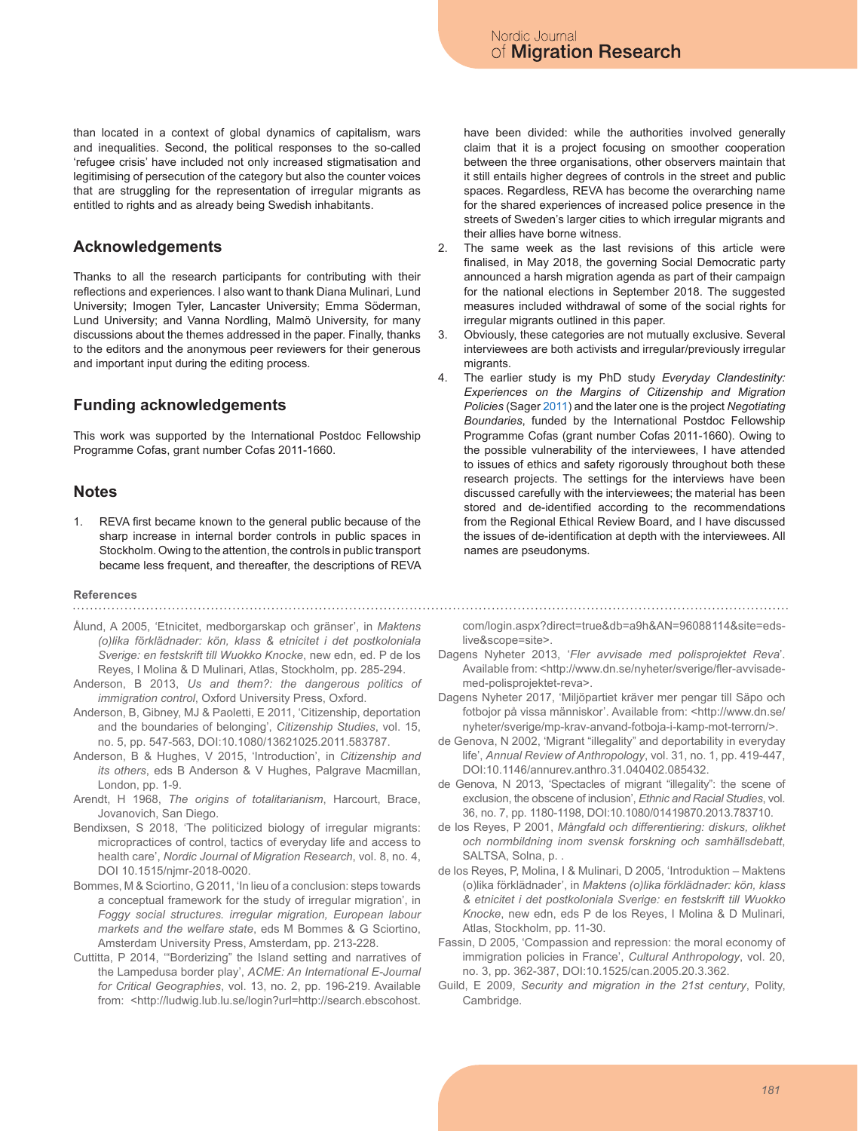than located in a context of global dynamics of capitalism, wars and inequalities. Second, the political responses to the so-called 'refugee crisis' have included not only increased stigmatisation and legitimising of persecution of the category but also the counter voices that are struggling for the representation of irregular migrants as entitled to rights and as already being Swedish inhabitants.

#### **Acknowledgements**

Thanks to all the research participants for contributing with their reflections and experiences. I also want to thank Diana Mulinari, Lund University; Imogen Tyler, Lancaster University; Emma Söderman, Lund University; and Vanna Nordling, Malmö University, for many discussions about the themes addressed in the paper. Finally, thanks to the editors and the anonymous peer reviewers for their generous and important input during the editing process.

## **Funding acknowledgements**

This work was supported by the International Postdoc Fellowship Programme Cofas, grant number Cofas 2011-1660.

#### **Notes**

1. REVA first became known to the general public because of the sharp increase in internal border controls in public spaces in Stockholm. Owing to the attention, the controls in public transport became less frequent, and thereafter, the descriptions of REVA

## **References**

- Ålund, A 2005, 'Etnicitet, medborgarskap och gränser', in *Maktens (o)lika förklädnader: kön, klass & etnicitet i det postkoloniala Sverige: en festskrift till Wuokko Knocke*, new edn, ed. P de los Reyes, I Molina & D Mulinari, Atlas, Stockholm, pp. 285-294.
- Anderson, B 2013, *Us and them?: the dangerous politics of immigration control*, Oxford University Press, Oxford.
- Anderson, B, Gibney, MJ & Paoletti, E 2011, 'Citizenship, deportation and the boundaries of belonging', *Citizenship Studies*, vol. 15, no. 5, pp. 547-563, DOI:10.1080/13621025.2011.583787.
- Anderson, B & Hughes, V 2015, 'Introduction', in *Citizenship and its others*, eds B Anderson & V Hughes, Palgrave Macmillan, London, pp. 1-9.
- Arendt, H 1968, *The origins of totalitarianism*, Harcourt, Brace, Jovanovich, San Diego.
- Bendixsen, S 2018, 'The politicized biology of irregular migrants: micropractices of control, tactics of everyday life and access to health care', *Nordic Journal of Migration Research*, vol. 8, no. 4, DOI 10.1515/njmr-2018-0020.
- Bommes, M & Sciortino, G 2011, 'In lieu of a conclusion: steps towards a conceptual framework for the study of irregular migration', in *Foggy social structures. irregular migration, European labour markets and the welfare state*, eds M Bommes & G Sciortino, Amsterdam University Press, Amsterdam, pp. 213-228.
- Cuttitta, P 2014, '"Borderizing" the Island setting and narratives of the Lampedusa border play', *ACME: An International E-Journal for Critical Geographies*, vol. 13, no. 2, pp. 196-219. Available from: <http://ludwig.lub.lu.se/login?url=http://search.ebscohost.

have been divided: while the authorities involved generally claim that it is a project focusing on smoother cooperation between the three organisations, other observers maintain that it still entails higher degrees of controls in the street and public spaces. Regardless, REVA has become the overarching name for the shared experiences of increased police presence in the streets of Sweden's larger cities to which irregular migrants and their allies have borne witness.

- 2. The same week as the last revisions of this article were finalised, in May 2018, the governing Social Democratic party announced a harsh migration agenda as part of their campaign for the national elections in September 2018. The suggested measures included withdrawal of some of the social rights for irregular migrants outlined in this paper.
- 3. Obviously, these categories are not mutually exclusive. Several interviewees are both activists and irregular/previously irregular migrants.
- 4. The earlier study is my PhD study *Everyday Clandestinity: Experiences on the Margins of Citizenship and Migration Policies* (Sager 2011) and the later one is the project *Negotiating Boundaries*, funded by the International Postdoc Fellowship Programme Cofas (grant number Cofas 2011-1660). Owing to the possible vulnerability of the interviewees, I have attended to issues of ethics and safety rigorously throughout both these research projects. The settings for the interviews have been discussed carefully with the interviewees; the material has been stored and de-identified according to the recommendations from the Regional Ethical Review Board, and I have discussed the issues of de-identification at depth with the interviewees. All names are pseudonyms.

com/login.aspx?direct=true&db=a9h&AN=96088114&site=edslive&scope=site>.

- Dagens Nyheter 2013, '*Fler avvisade med polisprojektet Reva*'. Available from: <http://www.dn.se/nyheter/sverige/fler-avvisademed-polisprojektet-reva>.
- Dagens Nyheter 2017, 'Miljöpartiet kräver mer pengar till Säpo och fotbojor på vissa människor'. Available from: <http://www.dn.se/ nyheter/sverige/mp-krav-anvand-fotboja-i-kamp-mot-terrorn/>.
- de Genova, N 2002, 'Migrant "illegality" and deportability in everyday life', *Annual Review of Anthropology*, vol. 31, no. 1, pp. 419-447, DOI:10.1146/annurev.anthro.31.040402.085432.
- de Genova, N 2013, 'Spectacles of migrant "illegality": the scene of exclusion, the obscene of inclusion', *Ethnic and Racial Studies*, vol. 36, no. 7, pp. 1180-1198, DOI:10.1080/01419870.2013.783710.
- de los Reyes, P 2001, *Mångfald och differentiering: diskurs, olikhet och normbildning inom svensk forskning och samhällsdebatt*, SALTSA, Solna, p. .
- de los Reyes, P, Molina, I & Mulinari, D 2005, 'Introduktion Maktens (o)lika förklädnader', in *Maktens (o)lika förklädnader: kön, klass & etnicitet i det postkoloniala Sverige: en festskrift till Wuokko Knocke*, new edn, eds P de los Reyes, I Molina & D Mulinari, Atlas, Stockholm, pp. 11-30.
- Fassin, D 2005, 'Compassion and repression: the moral economy of immigration policies in France', *Cultural Anthropology*, vol. 20, no. 3, pp. 362-387, DOI:10.1525/can.2005.20.3.362.
- Guild, E 2009, *Security and migration in the 21st century*, Polity, Cambridge.